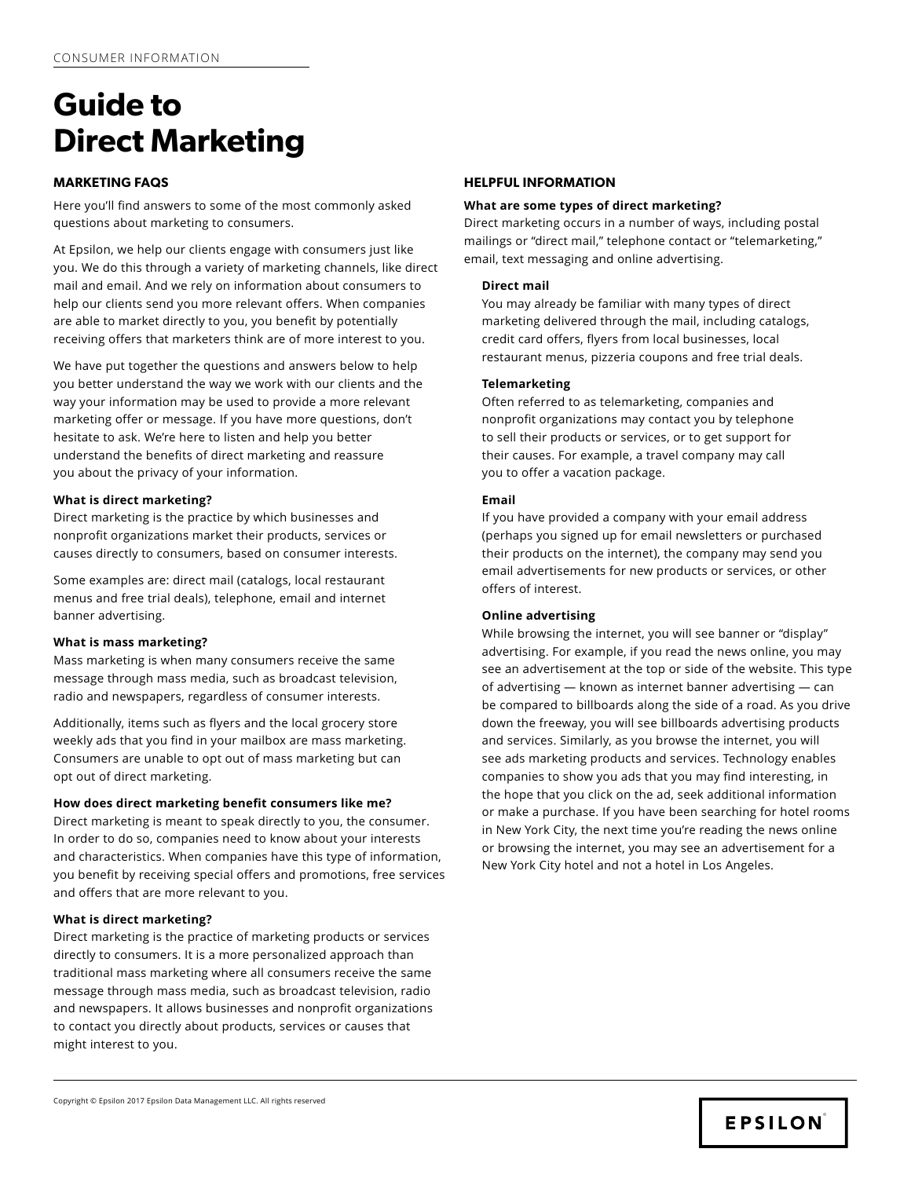# **MARKETING FAQS**

Here you'll find answers to some of the most commonly asked questions about marketing to consumers.

At Epsilon, we help our clients engage with consumers just like you. We do this through a variety of marketing channels, like direct mail and email. And we rely on information about consumers to help our clients send you more relevant offers. When companies are able to market directly to you, you benefit by potentially receiving offers that marketers think are of more interest to you.

We have put together the questions and answers below to help you better understand the way we work with our clients and the way your information may be used to provide a more relevant marketing offer or message. If you have more questions, don't hesitate to ask. We're here to listen and help you better understand the benefits of direct marketing and reassure you about the privacy of your information.

## **What is direct marketing?**

Direct marketing is the practice by which businesses and nonprofit organizations market their products, services or causes directly to consumers, based on consumer interests.

Some examples are: direct mail (catalogs, local restaurant menus and free trial deals), telephone, email and internet banner advertising.

## **What is mass marketing?**

Mass marketing is when many consumers receive the same message through mass media, such as broadcast television, radio and newspapers, regardless of consumer interests.

Additionally, items such as flyers and the local grocery store weekly ads that you find in your mailbox are mass marketing. Consumers are unable to opt out of mass marketing but can opt out of direct marketing.

## **How does direct marketing benefit consumers like me?**

Direct marketing is meant to speak directly to you, the consumer. In order to do so, companies need to know about your interests and characteristics. When companies have this type of information, you benefit by receiving special offers and promotions, free services and offers that are more relevant to you.

## **What is direct marketing?**

Direct marketing is the practice of marketing products or services directly to consumers. It is a more personalized approach than traditional mass marketing where all consumers receive the same message through mass media, such as broadcast television, radio and newspapers. It allows businesses and nonprofit organizations to contact you directly about products, services or causes that might interest to you.

# **HELPFUL INFORMATION**

## **What are some types of direct marketing?**

Direct marketing occurs in a number of ways, including postal mailings or "direct mail," telephone contact or "telemarketing," email, text messaging and online advertising.

#### **Direct mail**

You may already be familiar with many types of direct marketing delivered through the mail, including catalogs, credit card offers, flyers from local businesses, local restaurant menus, pizzeria coupons and free trial deals.

## **Telemarketing**

Often referred to as telemarketing, companies and nonprofit organizations may contact you by telephone to sell their products or services, or to get support for their causes. For example, a travel company may call you to offer a vacation package.

## **Email**

If you have provided a company with your email address (perhaps you signed up for email newsletters or purchased their products on the internet), the company may send you email advertisements for new products or services, or other offers of interest.

## **Online advertising**

While browsing the internet, you will see banner or "display" advertising. For example, if you read the news online, you may see an advertisement at the top or side of the website. This type of advertising — known as internet banner advertising — can be compared to billboards along the side of a road. As you drive down the freeway, you will see billboards advertising products and services. Similarly, as you browse the internet, you will see ads marketing products and services. Technology enables companies to show you ads that you may find interesting, in the hope that you click on the ad, seek additional information or make a purchase. If you have been searching for hotel rooms in New York City, the next time you're reading the news online or browsing the internet, you may see an advertisement for a New York City hotel and not a hotel in Los Angeles.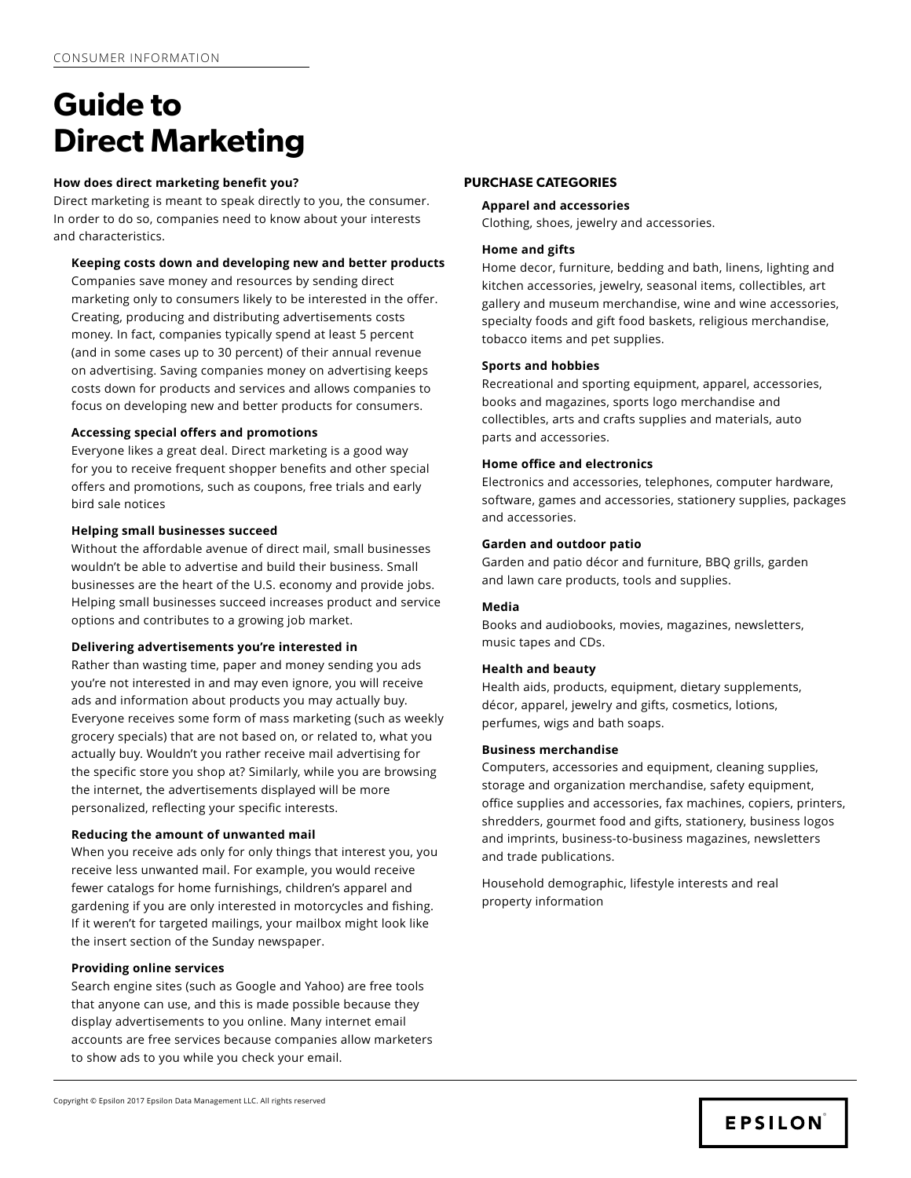## **How does direct marketing benefit you?**

Direct marketing is meant to speak directly to you, the consumer. In order to do so, companies need to know about your interests and characteristics.

## **Keeping costs down and developing new and better products**

Companies save money and resources by sending direct marketing only to consumers likely to be interested in the offer. Creating, producing and distributing advertisements costs money. In fact, companies typically spend at least 5 percent (and in some cases up to 30 percent) of their annual revenue on advertising. Saving companies money on advertising keeps costs down for products and services and allows companies to focus on developing new and better products for consumers.

#### **Accessing special offers and promotions**

Everyone likes a great deal. Direct marketing is a good way for you to receive frequent shopper benefits and other special offers and promotions, such as coupons, free trials and early bird sale notices

## **Helping small businesses succeed**

Without the affordable avenue of direct mail, small businesses wouldn't be able to advertise and build their business. Small businesses are the heart of the U.S. economy and provide jobs. Helping small businesses succeed increases product and service options and contributes to a growing job market.

#### **Delivering advertisements you're interested in**

Rather than wasting time, paper and money sending you ads you're not interested in and may even ignore, you will receive ads and information about products you may actually buy. Everyone receives some form of mass marketing (such as weekly grocery specials) that are not based on, or related to, what you actually buy. Wouldn't you rather receive mail advertising for the specific store you shop at? Similarly, while you are browsing the internet, the advertisements displayed will be more personalized, reflecting your specific interests.

#### **Reducing the amount of unwanted mail**

When you receive ads only for only things that interest you, you receive less unwanted mail. For example, you would receive fewer catalogs for home furnishings, children's apparel and gardening if you are only interested in motorcycles and fishing. If it weren't for targeted mailings, your mailbox might look like the insert section of the Sunday newspaper.

#### **Providing online services**

Search engine sites (such as Google and Yahoo) are free tools that anyone can use, and this is made possible because they display advertisements to you online. Many internet email accounts are free services because companies allow marketers to show ads to you while you check your email.

#### **PURCHASE CATEGORIES**

#### **Apparel and accessories**

Clothing, shoes, jewelry and accessories.

#### **Home and gifts**

Home decor, furniture, bedding and bath, linens, lighting and kitchen accessories, jewelry, seasonal items, collectibles, art gallery and museum merchandise, wine and wine accessories, specialty foods and gift food baskets, religious merchandise, tobacco items and pet supplies.

#### **Sports and hobbies**

Recreational and sporting equipment, apparel, accessories, books and magazines, sports logo merchandise and collectibles, arts and crafts supplies and materials, auto parts and accessories.

#### **Home office and electronics**

Electronics and accessories, telephones, computer hardware, software, games and accessories, stationery supplies, packages and accessories.

#### **Garden and outdoor patio**

Garden and patio décor and furniture, BBQ grills, garden and lawn care products, tools and supplies.

#### **Media**

Books and audiobooks, movies, magazines, newsletters, music tapes and CDs.

#### **Health and beauty**

Health aids, products, equipment, dietary supplements, décor, apparel, jewelry and gifts, cosmetics, lotions, perfumes, wigs and bath soaps.

#### **Business merchandise**

Computers, accessories and equipment, cleaning supplies, storage and organization merchandise, safety equipment, office supplies and accessories, fax machines, copiers, printers, shredders, gourmet food and gifts, stationery, business logos and imprints, business-to-business magazines, newsletters and trade publications.

Household demographic, lifestyle interests and real property information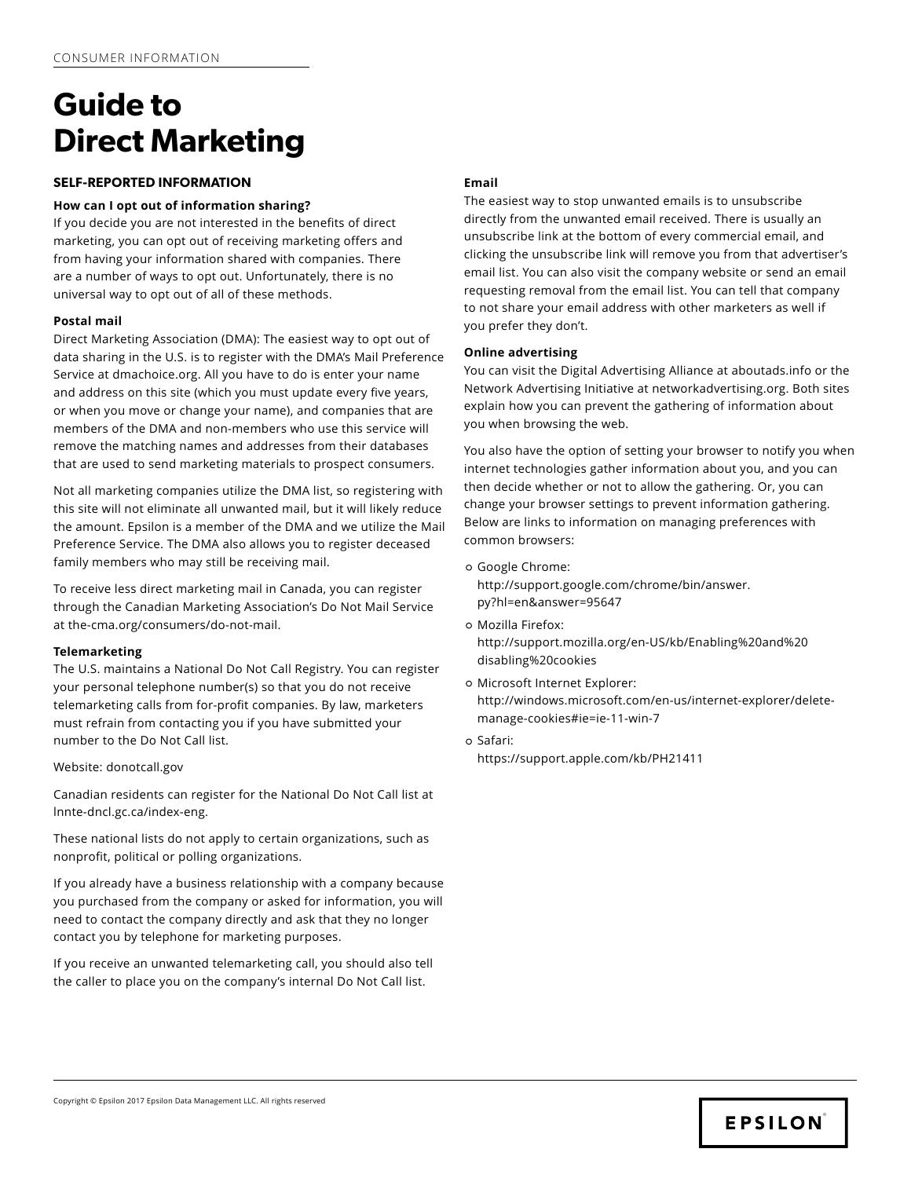## **SELF-REPORTED INFORMATION**

## **How can I opt out of information sharing?**

If you decide you are not interested in the benefits of direct marketing, you can opt out of receiving marketing offers and from having your information shared with companies. There are a number of ways to opt out. Unfortunately, there is no universal way to opt out of all of these methods.

## **Postal mail**

Direct Marketing Association (DMA): The easiest way to opt out of data sharing in the U.S. is to register with the DMA's Mail Preference Service at dmachoice.org. All you have to do is enter your name and address on this site (which you must update every five years, or when you move or change your name), and companies that are members of the DMA and non-members who use this service will remove the matching names and addresses from their databases that are used to send marketing materials to prospect consumers.

Not all marketing companies utilize the DMA list, so registering with this site will not eliminate all unwanted mail, but it will likely reduce the amount. Epsilon is a member of the DMA and we utilize the Mail Preference Service. The DMA also allows you to register deceased family members who may still be receiving mail.

To receive less direct marketing mail in Canada, you can register through the Canadian Marketing Association's Do Not Mail Service at the-cma.org/consumers/do-not-mail.

## **Telemarketing**

The U.S. maintains a National Do Not Call Registry. You can register your personal telephone number(s) so that you do not receive telemarketing calls from for-profit companies. By law, marketers must refrain from contacting you if you have submitted your number to the Do Not Call list.

#### Website: donotcall.gov

Canadian residents can register for the National Do Not Call list at lnnte-dncl.gc.ca/index-eng.

These national lists do not apply to certain organizations, such as nonprofit, political or polling organizations.

If you already have a business relationship with a company because you purchased from the company or asked for information, you will need to contact the company directly and ask that they no longer contact you by telephone for marketing purposes.

If you receive an unwanted telemarketing call, you should also tell the caller to place you on the company's internal Do Not Call list.

## **Email**

The easiest way to stop unwanted emails is to unsubscribe directly from the unwanted email received. There is usually an unsubscribe link at the bottom of every commercial email, and clicking the unsubscribe link will remove you from that advertiser's email list. You can also visit the company website or send an email requesting removal from the email list. You can tell that company to not share your email address with other marketers as well if you prefer they don't.

## **Online advertising**

You can visit the Digital Advertising Alliance at aboutads.info or the Network Advertising Initiative at networkadvertising.org. Both sites explain how you can prevent the gathering of information about you when browsing the web.

You also have the option of setting your browser to notify you when internet technologies gather information about you, and you can then decide whether or not to allow the gathering. Or, you can change your browser settings to prevent information gathering. Below are links to information on managing preferences with common browsers:

- [Google Chrome:](https://support.google.com/chrome/answer/95647?hl=en) [http://support.google.com/chrome/bin/answer.](https://support.google.com/chrome/answer/95647?hl=en) [py?hl=en&answer=95647](https://support.google.com/chrome/answer/95647?hl=en)
- o [Mozilla Firefox:](http://support.mozilla.org/en-US/kb/Enabling%20and%20disabling%20cookie) [http://support.mozilla.org/en-US/kb/Enabling%20and%20](http://support.mozilla.org/en-US/kb/Enabling%20and%20disabling%20cookie) [disabling%20cookies](http://support.mozilla.org/en-US/kb/Enabling%20and%20disabling%20cookie)
- o [Microsoft Internet Explorer:](http://windows.microsoft.com/en-us/internet-explorer/delete-manage-cookies#ie=ie-11-win-7) [http://windows.microsoft.com/en-us/internet-explorer/delete](http://windows.microsoft.com/en-us/internet-explorer/delete-manage-cookies#ie=ie-11-win-7)[manage-cookies#ie=ie-11-win-7](http://windows.microsoft.com/en-us/internet-explorer/delete-manage-cookies#ie=ie-11-win-7)
- [Safari:](https://support.apple.com/kb/PH21411)

<https://support.apple.com/kb/PH21411>